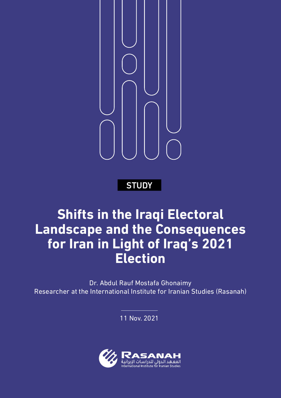

**STUDY** 

# **Shifts in the Iraqi Electoral Landscape and the Consequences for Iran in Light of Iraq's 2021 Election**

Dr. Abdul Rauf Mostafa Ghonaimy Researcher at the International Institute for Iranian Studies (Rasanah)

11 Nov. 2021

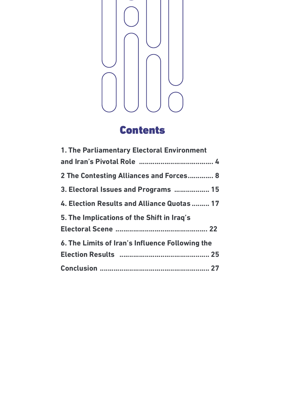

# Contents

| 1. The Parliamentary Electoral Environment      |
|-------------------------------------------------|
|                                                 |
| 2 The Contesting Alliances and Forces 8         |
| 3. Electoral Issues and Programs  15            |
| 4. Election Results and Alliance Quotas  17     |
| 5. The Implications of the Shift in Iraq's      |
|                                                 |
| 6. The Limits of Iran's Influence Following the |
|                                                 |
|                                                 |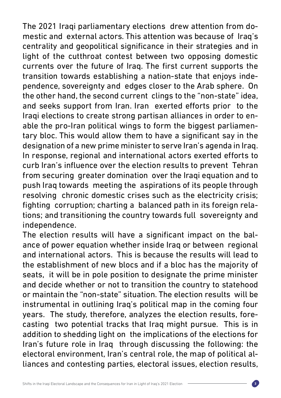The 2021 Iraqi parliamentary elections drew attention from domestic and external actors. This attention was because of Iraq's centrality and geopolitical significance in their strategies and in light of the cutthroat contest between two opposing domestic currents over the future of Iraq. The first current supports the transition towards establishing a nation-state that enjoys independence, sovereignty and edges closer to the Arab sphere. On the other hand, the second current clings to the "non-state" idea, and seeks support from Iran. Iran exerted efforts prior to the Iraqi elections to create strong partisan alliances in order to enable the pro-Iran political wings to form the biggest parliamentary bloc. This would allow them to have a significant say in the designation of a new prime minister to serve Iran's agenda in Iraq. In response, regional and international actors exerted efforts to curb Iran's influence over the election results to prevent Tehran from securing greater domination over the Iraqi equation and to push Iraq towards meeting the aspirations of its people through resolving chronic domestic crises such as the electricity crisis; fighting corruption; charting a balanced path in its foreign relations; and transitioning the country towards full sovereignty and independence.

The election results will have a significant impact on the balance of power equation whether inside Iraq or between regional and international actors. This is because the results will lead to the establishment of new blocs and if a bloc has the majority of seats, it will be in pole position to designate the prime minister and decide whether or not to transition the country to statehood or maintain the "non-state" situation. The election results will be instrumental in outlining Iraq's political map in the coming four years. The study, therefore, analyzes the election results, forecasting two potential tracks that Iraq might pursue. This is in addition to shedding light on the implications of the elections for Iran's future role in Iraq through discussing the following: the electoral environment, Iran's central role, the map of political alliances and contesting parties, electoral issues, election results,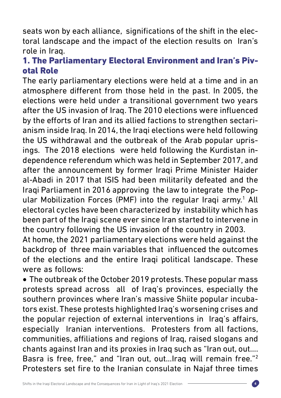seats won by each alliance, significations of the shift in the electoral landscape and the impact of the election results on Iran's role in Iraq.

### 1. The Parliamentary Electoral Environment and Iran's Pivotal Role

The early parliamentary elections were held at a time and in an atmosphere different from those held in the past. In 2005, the elections were held under a transitional government two years after the US invasion of Iraq. The 2010 elections were influenced by the efforts of Iran and its allied factions to strengthen sectarianism inside Iraq. In 2014, the Iraqi elections were held following the US withdrawal and the outbreak of the Arab popular uprisings. The 2018 elections were held following the Kurdistan independence referendum which was held in September 2017, and after the announcement by former Iraqi Prime Minister Haider al-Abadi in 2017 that ISIS had been militarily defeated and the Iraqi Parliament in 2016 approving the law to integrate the Popular Mobilization Forces (PMF) into the regular Iraqi army.<sup>1</sup> All electoral cycles have been characterized by instability which has been part of the Iraqi scene ever since Iran started to intervene in the country following the US invasion of the country in 2003.

At home, the 2021 parliamentary elections were held against the backdrop of three main variables that influenced the outcomes of the elections and the entire Iraqi political landscape. These were as follows:

• The outbreak of the October 2019 protests. These popular mass protests spread across all of Iraq's provinces, especially the southern provinces where Iran's massive Shiite popular incubators exist. These protests highlighted Iraq's worsening crises and the popular rejection of external interventions in Iraq's affairs, especially Iranian interventions. Protesters from all factions, communities, affiliations and regions of Iraq, raised slogans and chants against Iran and its proxies in Iraq such as "Iran out, out…. Basra is free, free," and "Iran out, out…Iraq will remain free."2 Protesters set fire to the Iranian consulate in Najaf three times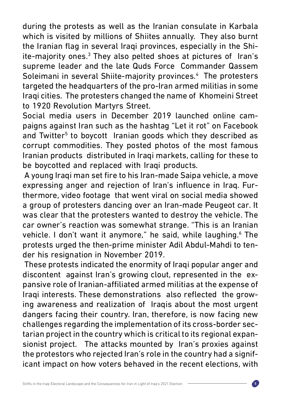during the protests as well as the Iranian consulate in Karbala which is visited by millions of Shiites annually. They also burnt the Iranian flag in several Iraqi provinces, especially in the Shiite-majority ones.<sup>3</sup> They also pelted shoes at pictures of Iran's supreme leader and the late Quds Force Commander Qassem Soleimani in several Shiite-majority provinces.<sup>4</sup> The protesters targeted the headquarters of the pro-Iran armed militias in some Iraqi cities. The protesters changed the name of Khomeini Street to 1920 Revolution Martyrs Street.

Social media users in December 2019 launched online campaigns against Iran such as the hashtag "Let it rot" on Facebook and Twitter<sup>5</sup> to boycott Iranian goods which they described as corrupt commodities. They posted photos of the most famous Iranian products distributed in Iraqi markets, calling for these to be boycotted and replaced with Iraqi products.

 A young Iraqi man set fire to his Iran-made Saipa vehicle, a move expressing anger and rejection of Iran's influence in Iraq. Furthermore, video footage that went viral on social media showed a group of protesters dancing over an Iran-made Peugeot car. It was clear that the protesters wanted to destroy the vehicle. The car owner's reaction was somewhat strange. "This is an Iranian vehicle. I don't want it anymore," he said, while laughing.<sup>6</sup> The protests urged the then-prime minister Adil Abdul-Mahdi to tender his resignation in November 2019.

 These protests indicated the enormity of Iraqi popular anger and discontent against Iran's growing clout, represented in the expansive role of Iranian-affiliated armed militias at the expense of Iraqi interests. These demonstrations also reflected the growing awareness and realization of Iraqis about the most urgent dangers facing their country. Iran, therefore, is now facing new challenges regarding the implementation of its cross-border sectarian project in the country which is critical to its regional expansionist project. The attacks mounted by Iran's proxies against the protestors who rejected Iran's role in the country had a significant impact on how voters behaved in the recent elections, with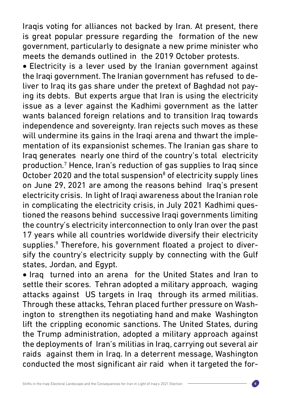Iraqis voting for alliances not backed by Iran. At present, there is great popular pressure regarding the formation of the new government, particularly to designate a new prime minister who meets the demands outlined in the 2019 October protests.

• Electricity is a lever used by the Iranian government against the Iraqi government. The Iranian government has refused to deliver to Iraq its gas share under the pretext of Baghdad not paying its debts. But experts argue that Iran is using the electricity issue as a lever against the Kadhimi government as the latter wants balanced foreign relations and to transition Iraq towards independence and sovereignty. Iran rejects such moves as these will undermine its gains in the Iraqi arena and thwart the implementation of its expansionist schemes. The Iranian gas share to Iraq generates nearly one third of the country's total electricity production.7 Hence, Iran's reduction of gas supplies to Iraq since October 2020 and the total suspension<sup>8</sup> of electricity supply lines on June 29, 2021 are among the reasons behind Iraq's present electricity crisis. In light of Iraqi awareness about the Iranian role in complicating the electricity crisis, in July 2021 Kadhimi questioned the reasons behind successive Iraqi governments limiting the country's electricity interconnection to only Iran over the past 17 years while all countries worldwide diversify their electricity supplies.<sup>9</sup> Therefore, his government floated a project to diversify the country's electricity supply by connecting with the Gulf states, Jordan, and Egypt.

• Iraq turned into an arena for the United States and Iran to settle their scores. Tehran adopted a military approach, waging attacks against US targets in Iraq through its armed militias. Through these attacks, Tehran placed further pressure on Washington to strengthen its negotiating hand and make Washington lift the crippling economic sanctions. The United States, during the Trump administration, adopted a military approach against the deployments of Iran's militias in Iraq, carrying out several air raids against them in Iraq. In a deterrent message, Washington conducted the most significant air raid when it targeted the for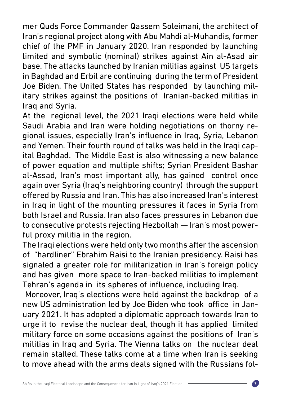mer Quds Force Commander Qassem Soleimani, the architect of Iran's regional project along with Abu Mahdi al-Muhandis, former chief of the PMF in January 2020. Iran responded by launching limited and symbolic (nominal) strikes against Ain al-Asad air base. The attacks launched by Iranian militias against US targets in Baghdad and Erbil are continuing during the term of President Joe Biden. The United States has responded by launching military strikes against the positions of Iranian-backed militias in Iraq and Syria.

At the regional level, the 2021 Iraqi elections were held while Saudi Arabia and Iran were holding negotiations on thorny regional issues, especially Iran's influence in Iraq, Syria, Lebanon and Yemen. Their fourth round of talks was held in the Iraqi capital Baghdad. The Middle East is also witnessing a new balance of power equation and multiple shifts; Syrian President Bashar al-Assad, Iran's most important ally, has gained control once again over Syria (Iraq's neighboring country) through the support offered by Russia and Iran. This has also increased Iran's interest in Iraq in light of the mounting pressures it faces in Syria from both Israel and Russia. Iran also faces pressures in Lebanon due to consecutive protests rejecting Hezbollah — Iran's most powerful proxy militia in the region.

The Iraqi elections were held only two months after the ascension of "hardliner" Ebrahim Raisi to the Iranian presidency. Raisi has signaled a greater role for militarization in Iran's foreign policy and has given more space to Iran-backed militias to implement Tehran's agenda in its spheres of influence, including Iraq.

 Moreover, Iraq's elections were held against the backdrop of a new US administration led by Joe Biden who took office in January 2021. It has adopted a diplomatic approach towards Iran to urge it to revise the nuclear deal, though it has applied limited military force on some occasions against the positions of Iran's militias in Iraq and Syria. The Vienna talks on the nuclear deal remain stalled. These talks come at a time when Iran is seeking to move ahead with the arms deals signed with the Russians fol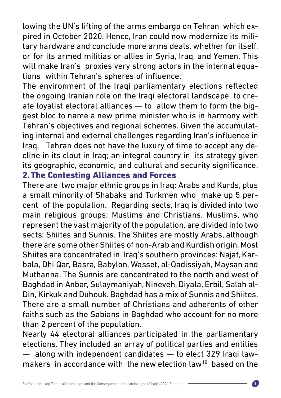lowing the UN's lifting of the arms embargo on Tehran which expired in October 2020. Hence, Iran could now modernize its military hardware and conclude more arms deals, whether for itself, or for its armed militias or allies in Syria, Iraq, and Yemen. This will make Iran's proxies very strong actors in the internal equations within Tehran's spheres of influence.

The environment of the Iraqi parliamentary elections reflected the ongoing Iranian role on the Iraqi electoral landscape to create loyalist electoral alliances — to allow them to form the biggest bloc to name a new prime minister who is in harmony with Tehran's objectives and regional schemes. Given the accumulating internal and external challenges regarding Iran's influence in Iraq, Tehran does not have the luxury of time to accept any decline in its clout in Iraq; an integral country in its strategy given its geographic, economic, and cultural and security significance. 2.The Contesting Alliances and Forces

There are two major ethnic groups in Iraq: Arabs and Kurds, plus a small minority of Shabaks and Turkmen who make up 5 percent of the population. Regarding sects, Iraq is divided into two main religious groups: Muslims and Christians. Muslims, who represent the vast majority of the population, are divided into two sects: Shiites and Sunnis. The Shiites are mostly Arabs, although there are some other Shiites of non-Arab and Kurdish origin. Most Shiites are concentrated in Iraq's southern provinces: Najaf, Karbala, Dhi Qar, Basra, Babylon, Wasset, al-Qadissiyah, Maysan and Muthanna. The Sunnis are concentrated to the north and west of Baghdad in Anbar, Sulaymaniyah, Nineveh, Diyala, Erbil, Salah al-Din, Kirkuk and Duhouk. Baghdad has a mix of Sunnis and Shiites. There are a small number of Christians and adherents of other faiths such as the Sabians in Baghdad who account for no more than 2 percent of the population.

Nearly 44 electoral alliances participated in the parliamentary elections. They included an array of political parties and entities — along with independent candidates — to elect 329 Iraqi lawmakers in accordance with the new election law<sup>10</sup> based on the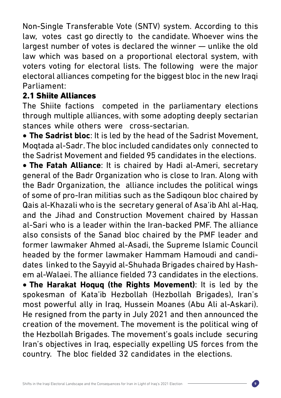Non-Single Transferable Vote (SNTV) system. According to this law, votes cast go directly to the candidate. Whoever wins the largest number of votes is declared the winner — unlike the old law which was based on a proportional electoral system, with voters voting for electoral lists. The following were the major electoral alliances competing for the biggest bloc in the new Iraqi Parliament:

### 2.1 Shiite Alliances

The Shiite factions competed in the parliamentary elections through multiple alliances, with some adopting deeply sectarian stances while others were cross-sectarian.

**• The Sadrist bloc**: It is led by the head of the Sadrist Movement, Moqtada al-Sadr. The bloc included candidates only connected to the Sadrist Movement and fielded 95 candidates in the elections.

**• The Fatah Alliance**: It is chaired by Hadi al-Ameri, secretary general of the Badr Organization who is close to Iran. Along with the Badr Organization, the alliance includes the political wings of some of pro-Iran militias such as the Sadiqoun bloc chaired by Qais al-Khazali who is the secretary general of Asa'ib Ahl al-Haq, and the Jihad and Construction Movement chaired by Hassan al-Sari who is a leader within the Iran-backed PMF. The alliance also consists of the Sanad bloc chaired by the PMF leader and former lawmaker Ahmed al-Asadi, the Supreme Islamic Council headed by the former lawmaker Hammam Hamoudi and candidates linked to the Sayyid al-Shuhada Brigades chaired by Hashem al-Walaei. The alliance fielded 73 candidates in the elections. • **The Harakat Hoquq (the Rights Movement)**: It is led by the spokesman of Kata'ib Hezbollah (Hezbollah Brigades), Iran's most powerful ally in Iraq, Hussein Moanes (Abu Ali al-Askari). He resigned from the party in July 2021 and then announced the creation of the movement. The movement is the political wing of the Hezbollah Brigades. The movement's goals include securing Iran's objectives in Iraq, especially expelling US forces from the country. The bloc fielded 32 candidates in the elections.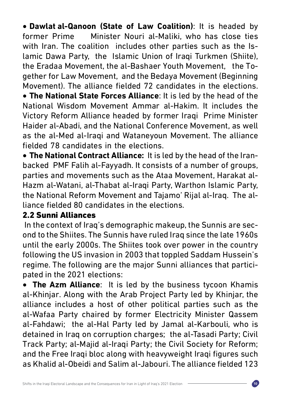• **Dawlat al-Qanoon (State of Law Coalition)**: It is headed by former Prime Minister Nouri al-Maliki, who has close ties with Iran. The coalition includes other parties such as the Islamic Dawa Party, the Islamic Union of Iraqi Turkmen (Shiite), the Eradaa Movement, the al-Bashaer Youth Movement, the Together for Law Movement, and the Bedaya Movement (Beginning Movement). The alliance fielded 72 candidates in the elections. **• The National State Forces Alliance:** It is led by the head of the National Wisdom Movement Ammar al-Hakim. It includes the Victory Reform Alliance headed by former Iraqi Prime Minister Haider al-Abadi, and the National Conference Movement, as well as the al-Med al-Iraqi and Wataneyoun Movement. The alliance fielded 78 candidates in the elections.

• **The National Contract Alliance:** It is led by the head of the Iranbacked PMF Falih al-Fayyadh. It consists of a number of groups, parties and movements such as the Ataa Movement, Harakat al-Hazm al-Watani, al-Thabat al-Iraqi Party, Warthon Islamic Party, the National Reform Movement and Tajamo' Rijal al-Iraq. The alliance fielded 80 candidates in the elections.

### 2.2 Sunni Alliances

 In the context of Iraq's demographic makeup, the Sunnis are second to the Shiites. The Sunnis have ruled Iraq since the late 1960s until the early 2000s. The Shiites took over power in the country following the US invasion in 2003 that toppled Saddam Hussein's regime. The following are the major Sunni alliances that participated in the 2021 elections:

• **The Azm Alliance**: It is led by the business tycoon Khamis al-Khinjar. Along with the Arab Project Party led by Khinjar, the alliance includes a host of other political parties such as the al-Wafaa Party chaired by former Electricity Minister Qassem al-Fahdawi; the al-Hal Party led by Jamal al-Karbouli, who is detained in Iraq on corruption charges; the al-Tasadi Party; Civil Track Party; al-Majid al-Iraqi Party; the Civil Society for Reform; and the Free Iraqi bloc along with heavyweight Iraqi figures such as Khalid al-Obeidi and Salim al-Jabouri. The alliance fielded 123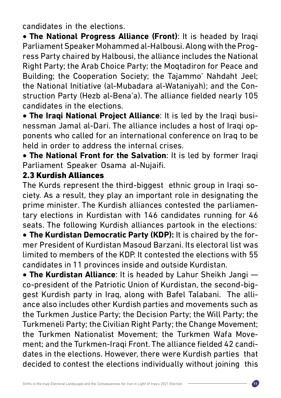candidates in the elections.

**• The National Progress Alliance (Front)**: It is headed by Iraqi Parliament Speaker Mohammed al-Halbousi. Along with the Progress Party chaired by Halbousi, the alliance includes the National Right Party; the Arab Choice Party; the Moqtadiron for Peace and Building; the Cooperation Society; the Tajammo' Nahdaht Jeel; the National Initiative (al-Mubadara al-Wataniyah); and the Construction Party (Hezb al-Bena'a). The alliance fielded nearly 105 candidates in the elections.

**• The Iraqi National Project Alliance**: It is led by the Iraqi businessman Jamal al-Dari. The alliance includes a host of Iraqi opponents who called for an international conference on Iraq to be held in order to address the internal crises.

**• The National Front for the Salvation**: It is led by former Iraqi Parliament Speaker Osama al-Nujaifi.

### 2.3 Kurdish Alliances

The Kurds represent the third-biggest ethnic group in Iraqi society. As a result, they play an important role in designating the prime minister. The Kurdish alliances contested the parliamentary elections in Kurdistan with 146 candidates running for 46 seats. The following Kurdish alliances partook in the elections:

• The Kurdistan Democratic Party (KDP): It is chaired by the former President of Kurdistan Masoud Barzani. Its electoral list was limited to members of the KDP. It contested the elections with 55 candidates in 11 provinces inside and outside Kurdistan.

• **The Kurdistan Alliance**: It is headed by Lahur Sheikh Jangi co-president of the Patriotic Union of Kurdistan, the second-biggest Kurdish party in Iraq, along with Bafel Talabani. The alliance also includes other Kurdish parties and movements such as the Turkmen Justice Party; the Decision Party; the Will Party; the Turkmeneli Party; the Civilian Right Party; the Change Movement; the Turkmen Nationalist Movement; the Turkmen Wafa Movement; and the Turkmen-Iraqi Front. The alliance fielded 42 candidates in the elections. However, there were Kurdish parties that decided to contest the elections individually without joining this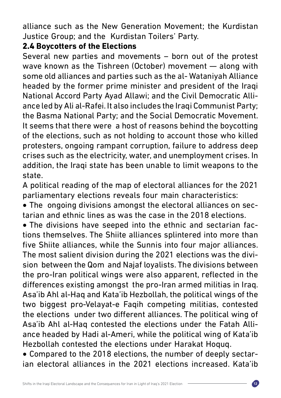alliance such as the New Generation Movement; the Kurdistan Justice Group; and the Kurdistan Toilers' Party.

### 2.4 **Boycotters of the Elections**

Several new parties and movements – born out of the protest wave known as the Tishreen (October) movement — along with some old alliances and parties such as the al- Wataniyah Alliance headed by the former prime minister and president of the Iraqi National Accord Party Ayad Allawi; and the Civil Democratic Alliance led by Ali al-Rafei. It also includes the Iraqi Communist Party; the Basma National Party; and the Social Democratic Movement. It seems that there were a host of reasons behind the boycotting of the elections, such as not holding to account those who killed protesters, ongoing rampant corruption, failure to address deep crises such as the electricity, water, and unemployment crises. In addition, the Iraqi state has been unable to limit weapons to the state.

A political reading of the map of electoral alliances for the 2021 parliamentary elections reveals four main characteristics:

• The ongoing divisions amongst the electoral alliances on sectarian and ethnic lines as was the case in the 2018 elections.

• The divisions have seeped into the ethnic and sectarian factions themselves. The Shiite alliances splintered into more than five Shiite alliances, while the Sunnis into four major alliances. The most salient division during the 2021 elections was the division between the Qom and Najaf loyalists. The divisions between the pro-Iran political wings were also apparent, reflected in the differences existing amongst the pro-Iran armed militias in Iraq. Asa'ib Ahl al-Haq and Kata'ib Hezbollah, the political wings of the two biggest pro-Velayat-e Faqih competing militias, contested the elections under two different alliances. The political wing of Asa'ib Ahl al-Haq contested the elections under the Fatah Alliance headed by Hadi al-Ameri, while the political wing of Kata'ib Hezbollah contested the elections under Harakat Hoquq.

• Compared to the 2018 elections, the number of deeply sectarian electoral alliances in the 2021 elections increased. Kata'ib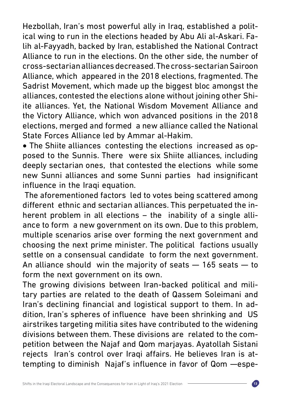Hezbollah, Iran's most powerful ally in Iraq, established a political wing to run in the elections headed by Abu Ali al-Askari. Falih al-Fayyadh, backed by Iran, established the National Contract Alliance to run in the elections. On the other side, the number of cross-sectarian alliances decreased. The cross-sectarian Sairoon Alliance, which appeared in the 2018 elections, fragmented. The Sadrist Movement, which made up the biggest bloc amongst the alliances, contested the elections alone without joining other Shiite alliances. Yet, the National Wisdom Movement Alliance and the Victory Alliance, which won advanced positions in the 2018 elections, merged and formed a new alliance called the National State Forces Alliance led by Ammar al-Hakim.

• The Shiite alliances contesting the elections increased as opposed to the Sunnis. There were six Shiite alliances, including deeply sectarian ones, that contested the elections while some new Sunni alliances and some Sunni parties had insignificant influence in the Iraqi equation.

 The aforementioned factors led to votes being scattered among different ethnic and sectarian alliances. This perpetuated the inherent problem in all elections – the inability of a single alliance to form a new government on its own. Due to this problem, multiple scenarios arise over forming the next government and choosing the next prime minister. The political factions usually settle on a consensual candidate to form the next government. An alliance should win the majority of seats — 165 seats — to form the next government on its own.

The growing divisions between Iran-backed political and military parties are related to the death of Qassem Soleimani and Iran's declining financial and logistical support to them. In addition, Iran's spheres of influence have been shrinking and US airstrikes targeting militia sites have contributed to the widening divisions between them. These divisions are related to the competition between the Najaf and Qom marjayas. Ayatollah Sistani rejects Iran's control over Iraqi affairs. He believes Iran is attempting to diminish Najaf's influence in favor of Qom —espe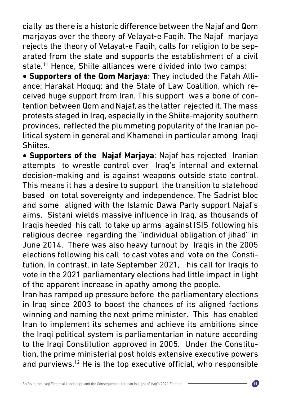cially as there is a historic difference between the Najaf and Qom marjayas over the theory of Velayat-e Faqih. The Najaf marjaya rejects the theory of Velayat-e Faqih, calls for religion to be separated from the state and supports the establishment of a civil state.<sup>11</sup> Hence, Shiite alliances were divided into two camps:

• **Supporters of the Qom Marjaya**: They included the Fatah Alliance; Harakat Hoquq; and the State of Law Coalition, which received huge support from Iran. This support was a bone of contention between Qom and Najaf, as the latter rejected it. The mass protests staged in Iraq, especially in the Shiite-majority southern provinces, reflected the plummeting popularity of the Iranian political system in general and Khamenei in particular among Iraqi Shiites.

**• Supporters of the Najaf Marjaya**: Najaf has rejected Iranian attempts to wrestle control over Iraq's internal and external decision-making and is against weapons outside state control. This means it has a desire to support the transition to statehood based on total sovereignty and independence. The Sadrist bloc and some aligned with the Islamic Dawa Party support Najaf's aims. Sistani wields massive influence in Iraq, as thousands of Iraqis heeded his call to take up arms against ISIS following his religious decree regarding the "individual obligation of jihad" in June 2014. There was also heavy turnout by Iraqis in the 2005 elections following his call to cast votes and vote on the Constitution. In contrast, in late September 2021, his call for Iraqis to vote in the 2021 parliamentary elections had little impact in light of the apparent increase in apathy among the people.

Iran has ramped up pressure before the parliamentary elections in Iraq since 2003 to boost the chances of its aligned factions winning and naming the next prime minister. This has enabled Iran to implement its schemes and achieve its ambitions since the Iraqi political system is parliamentarian in nature according to the Iraqi Constitution approved in 2005. Under the Constitution, the prime ministerial post holds extensive executive powers and purviews.<sup>12</sup> He is the top executive official, who responsible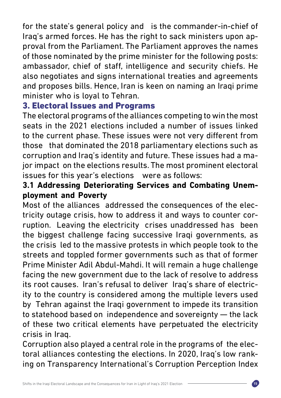for the state's general policy and is the commander-in-chief of Iraq's armed forces. He has the right to sack ministers upon approval from the Parliament. The Parliament approves the names of those nominated by the prime minister for the following posts: ambassador, chief of staff, intelligence and security chiefs. He also negotiates and signs international treaties and agreements and proposes bills. Hence, Iran is keen on naming an Iraqi prime minister who is loyal to Tehran.

### 3. Electoral Issues and Programs

The electoral programs of the alliances competing to win the most seats in the 2021 elections included a number of issues linked to the current phase. These issues were not very different from those that dominated the 2018 parliamentary elections such as corruption and Iraq's identity and future. These issues had a major impact on the elections results. The most prominent electoral issues for this year's elections were as follows:

### **3.1 Addressing Deteriorating Services and Combating Unemployment and Poverty**

Most of the alliances addressed the consequences of the electricity outage crisis, how to address it and ways to counter corruption. Leaving the electricity crises unaddressed has been the biggest challenge facing successive Iraqi governments, as the crisis led to the massive protests in which people took to the streets and toppled former governments such as that of former Prime Minister Adil Abdul-Mahdi. It will remain a huge challenge facing the new government due to the lack of resolve to address its root causes. Iran's refusal to deliver Iraq's share of electricity to the country is considered among the multiple levers used by Tehran against the Iraqi government to impede its transition to statehood based on independence and sovereignty — the lack of these two critical elements have perpetuated the electricity crisis in Iraq.

Corruption also played a central role in the programs of the electoral alliances contesting the elections. In 2020, Iraq's low ranking on Transparency International's Corruption Perception Index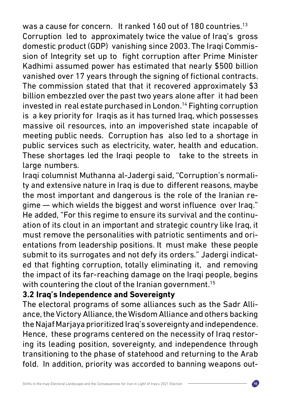was a cause for concern. It ranked 160 out of 180 countries.<sup>13</sup> Corruption led to approximately twice the value of Iraq's gross domestic product (GDP) vanishing since 2003. The Iraqi Commission of Integrity set up to fight corruption after Prime Minister Kadhimi assumed power has estimated that nearly \$500 billion vanished over 17 years through the signing of fictional contracts. The commission stated that that it recovered approximately \$3 billion embezzled over the past two years alone after it had been invested in real estate purchased in London.14 Fighting corruption is a key priority for Iraqis as it has turned Iraq, which possesses massive oil resources, into an impoverished state incapable of meeting public needs. Corruption has also led to a shortage in public services such as electricity, water, health and education. These shortages led the Iraqi people to take to the streets in large numbers.

Iraqi columnist Muthanna al-Jadergi said, "Corruption's normality and extensive nature in Iraq is due to different reasons, maybe the most important and dangerous is the role of the Iranian regime — which wields the biggest and worst influence over Iraq." He added, "For this regime to ensure its survival and the continuation of its clout in an important and strategic country like Iraq, it must remove the personalities with patriotic sentiments and orientations from leadership positions. It must make these people submit to its surrogates and not defy its orders." Jadergi indicated that fighting corruption, totally eliminating it, and removing the impact of its far-reaching damage on the Iraqi people, begins with countering the clout of the Iranian government.<sup>15</sup>

### **3.2 Iraq's Independence and Sovereignty**

The electoral programs of some alliances such as the Sadr Alliance, the Victory Alliance, the Wisdom Alliance and others backing the Najaf Marjaya prioritized Iraq's sovereignty and independence. Hence, these programs centered on the necessity of Iraq restoring its leading position, sovereignty, and independence through transitioning to the phase of statehood and returning to the Arab fold. In addition, priority was accorded to banning weapons out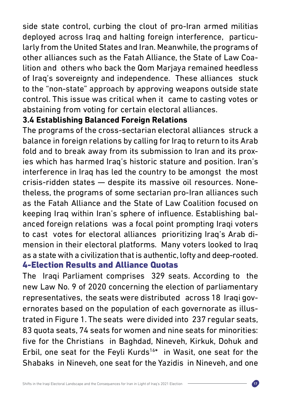side state control, curbing the clout of pro-Iran armed militias deployed across Iraq and halting foreign interference, particularly from the United States and Iran. Meanwhile, the programs of other alliances such as the Fatah Alliance, the State of Law Coalition and others who back the Qom Marjaya remained heedless of Iraq's sovereignty and independence. These alliances stuck to the "non-state" approach by approving weapons outside state control. This issue was critical when it came to casting votes or abstaining from voting for certain electoral alliances.

### **3.4 Establishing Balanced Foreign Relations**

The programs of the cross-sectarian electoral alliances struck a balance in foreign relations by calling for Iraq to return to its Arab fold and to break away from its submission to Iran and its proxies which has harmed Iraq's historic stature and position. Iran's interference in Iraq has led the country to be amongst the most crisis-ridden states — despite its massive oil resources. Nonetheless, the programs of some sectarian pro-Iran alliances such as the Fatah Alliance and the State of Law Coalition focused on keeping Iraq within Iran's sphere of influence. Establishing balanced foreign relations was a focal point prompting Iraqi voters to cast votes for electoral alliances prioritizing Iraq's Arab dimension in their electoral platforms. Many voters looked to Iraq as a state with a civilization that is authentic, lofty and deep-rooted. 4-Election Results and Alliance Quotas

The Iraqi Parliament comprises 329 seats. According to the new Law No. 9 of 2020 concerning the election of parliamentary representatives, the seats were distributed across 18 Iraqi governorates based on the population of each governorate as illustrated in Figure 1. The seats were divided into 237 regular seats, 83 quota seats, 74 seats for women and nine seats for minorities: five for the Christians in Baghdad, Nineveh, Kirkuk, Dohuk and Erbil, one seat for the Feyli Kurds<sup>16\*</sup> in Wasit, one seat for the Shabaks in Nineveh, one seat for the Yazidis in Nineveh, and one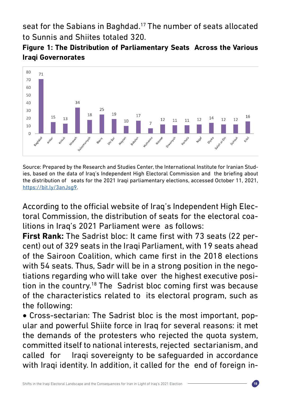seat for the Sabians in Baghdad.<sup>17</sup> The number of seats allocated to Sunnis and Shiites totaled 320.

### **Figure 1: The Distribution of Parliamentary Seats Across the Various Iraqi Governorates**



Source: Prepared by the Research and Studies Center, the International Institute for Iranian Studies, based on the data of Iraq's Independent High Electoral Commission and the briefing about the distribution of seats for the 2021 Iraqi parliamentary elections, accessed October 11, 2021, [https://bit.ly/3anJsg9.](https://bit.ly/3anJsg9)

According to the official website of Iraq's Independent High Electoral Commission, the distribution of seats for the electoral coalitions in Iraq's 2021 Parliament were as follows:

**First Rank:** The Sadrist bloc: It came first with 73 seats (22 percent) out of 329 seats in the Iraqi Parliament, with 19 seats ahead of the Sairoon Coalition, which came first in the 2018 elections with 54 seats. Thus, Sadr will be in a strong position in the negotiations regarding who will take over the highest executive position in the country.18 The Sadrist bloc coming first was because of the characteristics related to its electoral program, such as the following:

• Cross-sectarian: The Sadrist bloc is the most important, popular and powerful Shiite force in Iraq for several reasons: it met the demands of the protesters who rejected the quota system, committed itself to national interests, rejected sectarianism, and called for Iraqi sovereignty to be safeguarded in accordance with Iraqi identity. In addition, it called for the end of foreign in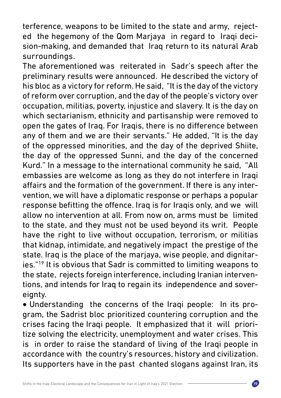terference, weapons to be limited to the state and army, rejected the hegemony of the Qom Marjaya in regard to Iraqi decision-making, and demanded that Iraq return to its natural Arab surroundings.

The aforementioned was reiterated in Sadr's speech after the preliminary results were announced. He described the victory of his bloc as a victory for reform. He said, "It is the day of the victory of reform over corruption, and the day of the people's victory over occupation, militias, poverty, injustice and slavery. It is the day on which sectarianism, ethnicity and partisanship were removed to open the gates of Iraq. For Iraqis, there is no difference between any of them and we are their servants." He added, "It is the day of the oppressed minorities, and the day of the deprived Shiite, the day of the oppressed Sunni, and the day of the concerned Kurd." In a message to the international community he said, "All embassies are welcome as long as they do not interfere in Iraqi affairs and the formation of the government. If there is any intervention, we will have a diplomatic response or perhaps a popular response befitting the offence. Iraq is for Iraqis only, and we will allow no intervention at all. From now on, arms must be limited to the state, and they must not be used beyond its writ. People have the right to live without occupation, terrorism, or militias that kidnap, intimidate, and negatively impact the prestige of the state. Iraq is the place of the marjaya, wise people, and dignitaries."19 It is obvious that Sadr is committed to limiting weapons to the state, rejects foreign interference, including Iranian interventions, and intends for Iraq to regain its independence and sovereignty.

• Understanding the concerns of the Iraqi people: In its program, the Sadrist bloc prioritized countering corruption and the crises facing the Iraqi people. It emphasized that it will prioritize solving the electricity, unemployment and water crises. This is in order to raise the standard of living of the Iraqi people in accordance with the country's resources, history and civilization. Its supporters have in the past chanted slogans against Iran, its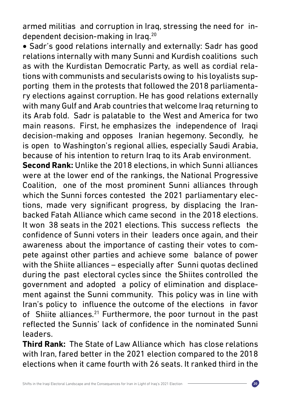armed militias and corruption in Iraq, stressing the need for independent decision-making in Iraq.20

• Sadr's good relations internally and externally: Sadr has good relations internally with many Sunni and Kurdish coalitions such as with the Kurdistan Democratic Party, as well as cordial relations with communists and secularists owing to his loyalists supporting them in the protests that followed the 2018 parliamentary elections against corruption. He has good relations externally with many Gulf and Arab countries that welcome Irag returning to its Arab fold. Sadr is palatable to the West and America for two main reasons. First, he emphasizes the independence of Iraqi decision-making and opposes Iranian hegemony. Secondly, he is open to Washington's regional allies, especially Saudi Arabia, because of his intention to return Iraq to its Arab environment.

**Second Rank:** Unlike the 2018 elections, in which Sunni alliances were at the lower end of the rankings, the National Progressive Coalition, one of the most prominent Sunni alliances through which the Sunni forces contested the 2021 parliamentary elections, made very significant progress, by displacing the Iranbacked Fatah Alliance which came second in the 2018 elections. It won 38 seats in the 2021 elections. This success reflects the confidence of Sunni voters in their leaders once again, and their awareness about the importance of casting their votes to compete against other parties and achieve some balance of power with the Shiite alliances – especially after Sunni quotas declined during the past electoral cycles since the Shiites controlled the government and adopted a policy of elimination and displacement against the Sunni community. This policy was in line with Iran's policy to influence the outcome of the elections in favor of Shiite alliances.<sup>21</sup> Furthermore, the poor turnout in the past reflected the Sunnis' lack of confidence in the nominated Sunni leaders.

**Third Rank:** The State of Law Alliance which has close relations with Iran, fared better in the 2021 election compared to the 2018 elections when it came fourth with 26 seats. It ranked third in the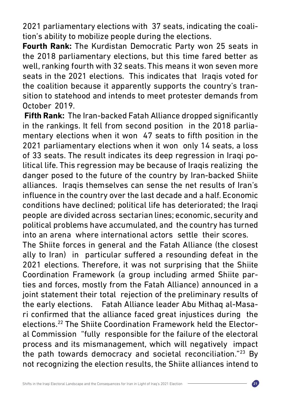2021 parliamentary elections with 37 seats, indicating the coalition's ability to mobilize people during the elections.

**Fourth Rank:** The Kurdistan Democratic Party won 25 seats in the 2018 parliamentary elections, but this time fared better as well, ranking fourth with 32 seats. This means it won seven more seats in the 2021 elections. This indicates that Iraqis voted for the coalition because it apparently supports the country's transition to statehood and intends to meet protester demands from October 2019.

**Fifth Rank:** The Iran-backed Fatah Alliance dropped significantly in the rankings. It fell from second position in the 2018 parliamentary elections when it won 47 seats to fifth position in the 2021 parliamentary elections when it won only 14 seats, a loss of 33 seats. The result indicates its deep regression in Iraqi political life. This regression may be because of Iraqis realizing the danger posed to the future of the country by Iran-backed Shiite alliances. Iraqis themselves can sense the net results of Iran's influence in the country over the last decade and a half. Economic conditions have declined; political life has deteriorated; the Iraqi people are divided across sectarian lines; economic, security and political problems have accumulated, and the country has turned into an arena where international actors settle their scores.

The Shiite forces in general and the Fatah Alliance (the closest ally to Iran) in particular suffered a resounding defeat in the 2021 elections. Therefore, it was not surprising that the Shiite Coordination Framework (a group including armed Shiite parties and forces, mostly from the Fatah Alliance) announced in a joint statement their total rejection of the preliminary results of the early elections. Fatah Alliance leader Abu Mithaq al-Masari confirmed that the alliance faced great injustices during the elections.22 The Shiite Coordination Framework held the Electoral Commission "fully responsible for the failure of the electoral process and its mismanagement, which will negatively impact the path towards democracy and societal reconciliation." $23$  By not recognizing the election results, the Shiite alliances intend to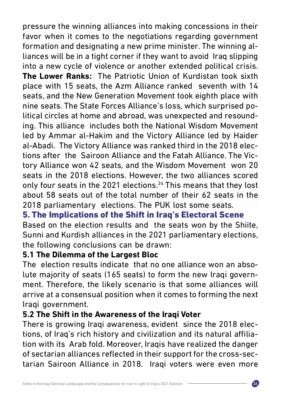pressure the winning alliances into making concessions in their favor when it comes to the negotiations regarding government formation and designating a new prime minister. The winning alliances will be in a tight corner if they want to avoid Iraq slipping into a new cycle of violence or another extended political crisis. **The Lower Ranks:** The Patriotic Union of Kurdistan took sixth place with 15 seats, the Azm Alliance ranked seventh with 14 seats, and the New Generation Movement took eighth place with nine seats. The State Forces Alliance's loss, which surprised political circles at home and abroad, was unexpected and resounding. This alliance includes both the National Wisdom Movement led by Ammar al-Hakim and the Victory Alliance led by Haider al-Abadi. The Victory Alliance was ranked third in the 2018 elections after the Sairoon Alliance and the Fatah Alliance. The Victory Alliance won 42 seats, and the Wisdom Movement won 20 seats in the 2018 elections. However, the two alliances scored only four seats in the 2021 elections.<sup>24</sup> This means that they lost about 58 seats out of the total number of their 62 seats in the 2018 parliamentary elections. The PUK lost some seats.

# 5. The Implications of the Shift in Iraq's Electoral Scene

Based on the election results and the seats won by the Shiite, Sunni and Kurdish alliances in the 2021 parliamentary elections, the following conclusions can be drawn:

### **5.1 The Dilemma of the Largest Bloc**

The election results indicate that no one alliance won an absolute majority of seats (165 seats) to form the new Iraqi government. Therefore, the likely scenario is that some alliances will arrive at a consensual position when it comes to forming the next Iraqi government.

## **5.2 The Shift in the Awareness of the Iraqi Voter**

There is growing Iraqi awareness, evident since the 2018 elections, of Iraq's rich history and civilization and its natural affiliation with its Arab fold. Moreover, Iraqis have realized the danger of sectarian alliances reflected in their support for the cross-sectarian Sairoon Alliance in 2018. Iraqi voters were even more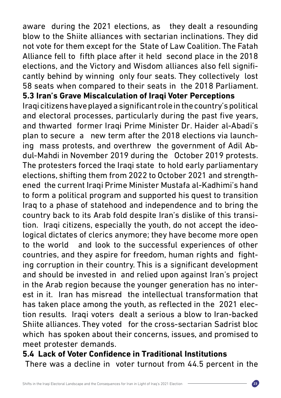aware during the 2021 elections, as they dealt a resounding blow to the Shiite alliances with sectarian inclinations. They did not vote for them except for the State of Law Coalition. The Fatah Alliance fell to fifth place after it held second place in the 2018 elections, and the Victory and Wisdom alliances also fell significantly behind by winning only four seats. They collectively lost 58 seats when compared to their seats in the 2018 Parliament. **5.3 Iran's Grave Miscalculation of Iraqi Voter Perceptions**

Iraqi citizens have played a significant role in the country's political and electoral processes, particularly during the past five years, and thwarted former Iraqi Prime Minister Dr. Haider al-Abadi's plan to secure a new term after the 2018 elections via launching mass protests, and overthrew the government of Adil Abdul-Mahdi in November 2019 during the October 2019 protests. The protesters forced the Iraqi state to hold early parliamentary elections, shifting them from 2022 to October 2021 and strengthened the current Iraqi Prime Minister Mustafa al-Kadhimi's hand to form a political program and supported his quest to transition Iraq to a phase of statehood and independence and to bring the country back to its Arab fold despite Iran's dislike of this transition. Iraqi citizens, especially the youth, do not accept the ideological dictates of clerics anymore; they have become more open to the world and look to the successful experiences of other countries, and they aspire for freedom, human rights and fighting corruption in their country. This is a significant development and should be invested in and relied upon against Iran's project in the Arab region because the younger generation has no interest in it. Iran has misread the intellectual transformation that has taken place among the youth, as reflected in the 2021 election results. Iraqi voters dealt a serious a blow to Iran-backed Shiite alliances. They voted for the cross-sectarian Sadrist bloc which has spoken about their concerns, issues, and promised to meet protester demands.

### **5.4 Lack of Voter Confidence in Traditional Institutions**

There was a decline in voter turnout from 44.5 percent in the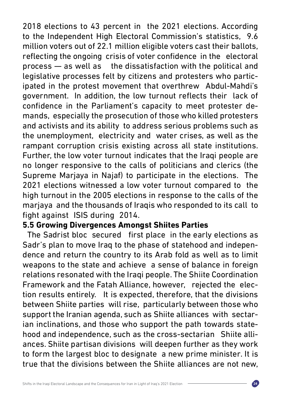2018 elections to 43 percent in the 2021 elections. According to the Independent High Electoral Commission's statistics, 9.6 million voters out of 22.1 million eligible voters cast their ballots, reflecting the ongoing crisis of voter confidence in the electoral process — as well as the dissatisfaction with the political and legislative processes felt by citizens and protesters who participated in the protest movement that overthrew Abdul-Mahdi's government. In addition, the low turnout reflects their lack of confidence in the Parliament's capacity to meet protester demands, especially the prosecution of those who killed protesters and activists and its ability to address serious problems such as the unemployment, electricity and water crises, as well as the rampant corruption crisis existing across all state institutions. Further, the low voter turnout indicates that the Iraqi people are no longer responsive to the calls of politicians and clerics (the Supreme Marjaya in Najaf) to participate in the elections. The 2021 elections witnessed a low voter turnout compared to the high turnout in the 2005 elections in response to the calls of the marjaya and the thousands of Iraqis who responded to its call to fight against ISIS during 2014.

### **5.5 Growing Divergences Amongst Shiites Parties**

 The Sadrist bloc secured first place in the early elections as Sadr's plan to move Iraq to the phase of statehood and independence and return the country to its Arab fold as well as to limit weapons to the state and achieve a sense of balance in foreign relations resonated with the Iraqi people. The Shiite Coordination Framework and the Fatah Alliance, however, rejected the election results entirely. It is expected, therefore, that the divisions between Shiite parties will rise, particularly between those who support the Iranian agenda, such as Shiite alliances with sectarian inclinations, and those who support the path towards statehood and independence, such as the cross-sectarian Shiite alliances. Shiite partisan divisions will deepen further as they work to form the largest bloc to designate a new prime minister. It is true that the divisions between the Shiite alliances are not new,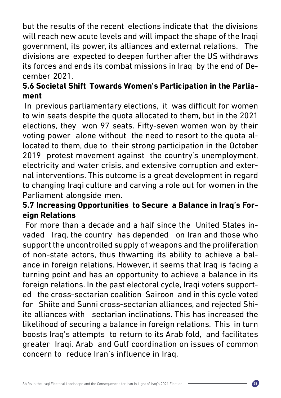but the results of the recent elections indicate that the divisions will reach new acute levels and will impact the shape of the Iraqi government, its power, its alliances and external relations. The divisions are expected to deepen further after the US withdraws its forces and ends its combat missions in Iraq by the end of December 2021.

### **5.6 Societal Shift Towards Women's Participation in the Parliament**

 In previous parliamentary elections, it was difficult for women to win seats despite the quota allocated to them, but in the 2021 elections, they won 97 seats. Fifty-seven women won by their voting power alone without the need to resort to the quota allocated to them, due to their strong participation in the October 2019 protest movement against the country's unemployment, electricity and water crisis, and extensive corruption and external interventions. This outcome is a great development in regard to changing Iraqi culture and carving a role out for women in the Parliament alongside men.

## **5.7 Increasing Opportunities to Secure a Balance in Iraq's Foreign Relations**

 For more than a decade and a half since the United States invaded Iraq, the country has depended on Iran and those who support the uncontrolled supply of weapons and the proliferation of non-state actors, thus thwarting its ability to achieve a balance in foreign relations. However, it seems that Iraq is facing a turning point and has an opportunity to achieve a balance in its foreign relations. In the past electoral cycle, Iraqi voters supported the cross-sectarian coalition Sairoon and in this cycle voted for Shiite and Sunni cross-sectarian alliances, and rejected Shiite alliances with sectarian inclinations. This has increased the likelihood of securing a balance in foreign relations. This in turn boosts Iraq's attempts to return to its Arab fold, and facilitates greater Iraqi, Arab and Gulf coordination on issues of common concern to reduce Iran's influence in Iraq.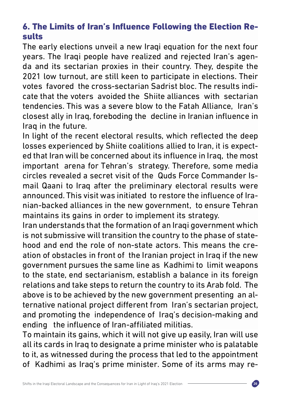# 6. The Limits of Iran's Influence Following the Election Results

The early elections unveil a new Iraqi equation for the next four years. The Iraqi people have realized and rejected Iran's agenda and its sectarian proxies in their country. They, despite the 2021 low turnout, are still keen to participate in elections. Their votes favored the cross-sectarian Sadrist bloc. The results indicate that the voters avoided the Shiite alliances with sectarian tendencies. This was a severe blow to the Fatah Alliance, Iran's closest ally in Iraq, foreboding the decline in Iranian influence in Iraq in the future.

In light of the recent electoral results, which reflected the deep losses experienced by Shiite coalitions allied to Iran, it is expected that Iran will be concerned about its influence in Iraq, the most important arena for Tehran's strategy. Therefore, some media circles revealed a secret visit of the Quds Force Commander Ismail Qaani to Iraq after the preliminary electoral results were announced. This visit was initiated to restore the influence of Iranian-backed alliances in the new government, to ensure Tehran maintains its gains in order to implement its strategy.

Iran understands that the formation of an Iraqi government which is not submissive will transition the country to the phase of statehood and end the role of non-state actors. This means the creation of obstacles in front of the Iranian project in Iraq if the new government pursues the same line as Kadhimi to limit weapons to the state, end sectarianism, establish a balance in its foreign relations and take steps to return the country to its Arab fold. The above is to be achieved by the new government presenting an alternative national project different from Iran's sectarian project, and promoting the independence of Iraq's decision-making and ending the influence of Iran-affiliated militias.

To maintain its gains, which it will not give up easily, Iran will use all its cards in Iraq to designate a prime minister who is palatable to it, as witnessed during the process that led to the appointment of Kadhimi as Iraq's prime minister. Some of its arms may re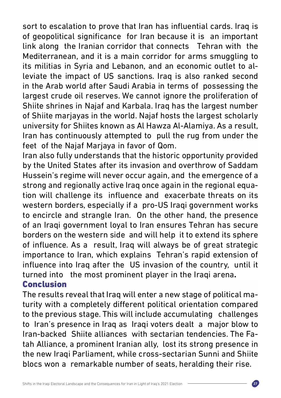sort to escalation to prove that Iran has influential cards. Iraq is of geopolitical significance for Iran because it is an important link along the Iranian corridor that connects Tehran with the Mediterranean, and it is a main corridor for arms smuggling to its militias in Syria and Lebanon, and an economic outlet to alleviate the impact of US sanctions. Iraq is also ranked second in the Arab world after Saudi Arabia in terms of possessing the largest crude oil reserves. We cannot ignore the proliferation of Shiite shrines in Najaf and Karbala. Iraq has the largest number of Shiite marjayas in the world. Najaf hosts the largest scholarly university for Shiites known as Al Hawza Al-Alamiya. As a result, Iran has continuously attempted to pull the rug from under the feet of the Najaf Marjaya in favor of Qom.

Iran also fully understands that the historic opportunity provided by the United States after its invasion and overthrow of Saddam Hussein's regime will never occur again, and the emergence of a strong and regionally active Iraq once again in the regional equation will challenge its influence and exacerbate threats on its western borders, especially if a pro-US Iraqi government works to encircle and strangle Iran. On the other hand, the presence of an Iraqi government loyal to Iran ensures Tehran has secure borders on the western side and will help it to extend its sphere of influence. As a result, Iraq will always be of great strategic importance to Iran, which explains Tehran's rapid extension of influence into Iraq after the US invasion of the country, until it turned into the most prominent player in the Iraqi arena**.** Conclusion

The results reveal that Iraq will enter a new stage of political maturity with a completely different political orientation compared to the previous stage. This will include accumulating challenges to Iran's presence in Iraq as Iraqi voters dealt a major blow to Iran-backed Shiite alliances with sectarian tendencies. The Fatah Alliance, a prominent Iranian ally, lost its strong presence in the new Iraqi Parliament, while cross-sectarian Sunni and Shiite blocs won a remarkable number of seats, heralding their rise.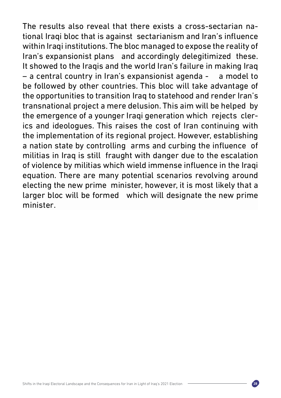The results also reveal that there exists a cross-sectarian national Iraqi bloc that is against sectarianism and Iran's influence within Iraqi institutions. The bloc managed to expose the reality of Iran's expansionist plans and accordingly delegitimized these. It showed to the Iraqis and the world Iran's failure in making Iraq – a central country in Iran's expansionist agenda - a model to be followed by other countries. This bloc will take advantage of the opportunities to transition Iraq to statehood and render Iran's transnational project a mere delusion. This aim will be helped by the emergence of a younger Iraqi generation which rejects clerics and ideologues. This raises the cost of Iran continuing with the implementation of its regional project. However, establishing a nation state by controlling arms and curbing the influence of militias in Iraq is still fraught with danger due to the escalation of violence by militias which wield immense influence in the Iraqi equation. There are many potential scenarios revolving around electing the new prime minister, however, it is most likely that a larger bloc will be formed which will designate the new prime minister.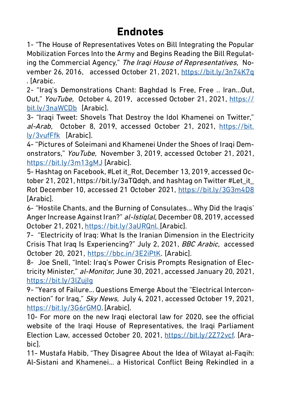# **Endnotes**

1- "The House of Representatives Votes on Bill Integrating the Popular Mobilization Forces Into the Army and Begins Reading the Bill Regulating the Commercial Agency," The Iraqi House of Representatives, November 26, 2016, accessed October 21, 2021, <https://bit.ly/3n74K7q> . [Arabic.

2- "Iraq's Demonstrations Chant: Baghdad Is Free, Free .. Iran...Out, Out," YouTube, October 4, 2019, accessed October 21, 2021, [https://](https://bit.ly/3naWCDb) [bit.ly/3naWCDb](https://bit.ly/3naWCDb) [Arabic].

3- "Iraqi Tweet: Shovels That Destroy the Idol Khamenei on Twitter," al-Arab, October 8, 2019, accessed October 21, 2021, [https://bit.](https://bit.ly/3vufFfk) [ly/3vufFfk](https://bit.ly/3vufFfk) [Arabic].

4- "Pictures of Soleimani and Khamenei Under the Shoes of Iraqi Demonstrators," YouTube, November 3, 2019, accessed October 21, 2021, <https://bit.ly/3m13gMJ> [Arabic].

5- Hashtag on Facebook, #Let it\_Rot, December 13, 2019, accessed October 21, 2021, https://bit.ly/3aTQdqh, and hashtag on Twitter #Let\_it\_ Rot December 10, accessed 21 October 2021, <https://bit.ly/3G3m4D8> [Arabic].

6- "Hostile Chants, and the Burning of Consulates... Why Did the Iraqis' Anger Increase Against Iran?" al-Istiqlal, December 08, 2019, accessed October 21, 2021, [https://bit.ly/3aURQnl.](https://bit.ly/3aURQnl) [Arabic].

7- "Electricity of Iraq: What Is the Iranian Dimension in the Electricity Crisis That Iraq Is Experiencing?" July 2, 2021, BBC Arabic, accessed October 20, 2021, [https://bbc.in/3E2iPtK.](https://bbc.in/3E2iPtK) [Arabic].

8- [Joe Snell](https://www.al-monitor.com/authors/joe-snell.html), "Intel: Iraq's Power Crisis Prompts Resignation of Electricity Minister," al-Monitor, June 30, 2021, accessed January 20, 2021, <https://bit.ly/3lZujIg>

9- "Years of Failure... Questions Emerge About the "Electrical Interconnection" for Iraq," Sky News, July 4, 2021, accessed October 19, 2021, [https://bit.ly/3G6rGMO.](https://bit.ly/3G6rGMO) [Arabic].

10- For more on the new Iraqi electoral law for 2020, see the official website of the Iraqi House of Representatives, the Iraqi Parliament Election Law, accessed October 20, 2021, [https://bit.ly/2Z72vcf.](https://bit.ly/2Z72vcf) [Arabic].

11- Mustafa Habib, "They Disagree About the Idea of Wilayat al-Faqih: Al-Sistani and Khamenei... a Historical Conflict Being Rekindled in a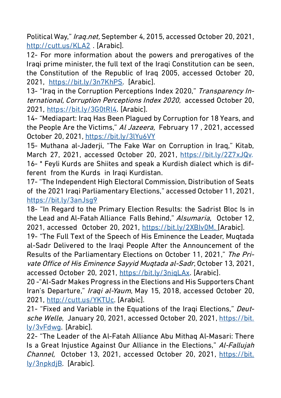Political Way," Iraq.net, September 4, 2015, accessed October 20, 2021, <http://cutt.us/KLA2> . [Arabic].

12- For more information about the powers and prerogatives of the Iraqi prime minister, the full text of the Iraqi Constitution can be seen, the Constitution of the Republic of Iraq 2005, accessed October 20, 2021, [https://bit.ly/3n7KhPS.](https://bit.ly/3n7KhPS) [Arabic].

13- "Iraq in the Corruption Perceptions Index 2020," Transparency International, Corruption Perceptions Index 2020, accessed October 20, 2021, <https://bit.ly/3G0tRl4>. [Arabic].

14- "Mediapart: Iraq Has Been Plagued by Corruption for 18 Years, and the People Are the Victims," Al Jazeera, February 17, 2021, accessed October 20, 2021, <https://bit.ly/3lYu6VY>

15- Muthana al-Jaderji, "The Fake War on Corruption in Iraq," Kitab, March 27, 2021, accessed October 20, 2021, [https://bit.ly/2Z7xJQv.](https://bit.ly/2Z7xJQv) 16- \* Feyli Kurds are Shiites and speak a Kurdish dialect which is different from the Kurds in Iraqi Kurdistan.

17- "The Independent High Electoral Commission, Distribution of Seats of the 2021 Iraqi Parliamentary Elections," accessed October 11, 2021, <https://bit.ly/3anJsg9>

18- "In Regard to the Primary Election Results: the Sadrist Bloc Is in the Lead and Al-Fatah Alliance Falls Behind," Alsumaria, October 12, 2021, accessed October 20, 2021, [https://bit.ly/2XBIv0M.](https://bit.ly/2XBIv0M) [Arabic].

19- "The Full Text of the Speech of His Eminence the Leader, Muqtada al-Sadr Delivered to the Iraqi People After the Announcement of the Results of the Parliamentary Elections on October 11, 2021," The Private Office of His Eminence Sayyid Muqtada al-Sadr, October 13, 2021, accessed October 20, 2021, [https://bit.ly/3niqLAx.](https://bit.ly/3niqLAx) [Arabic].

20 -"Al-Sadr Makes Progress in the Elections and His Supporters Chant Iran's Departure," Iraqi al-Yaum, May 15, 2018, accessed October 20, 2021, [http://cutt.us/YKTUc.](http://cutt.us/YKTUc) [Arabic].

21- "Fixed and Variable in the Equations of the Iraqi Elections," Deutsche Welle, January 20, 2021, accessed October 20, 2021, [https://bit.](https://bit.ly/3vFdwg) [ly/3vFdwg](https://bit.ly/3vFdwg). [Arabic].

22- "The Leader of the Al-Fatah Alliance Abu Mithaq Al-Masari: There Is a Great Injustice Against Our Alliance in the Elections," Al-Fallujah Channel, October 13, 2021, accessed October 20, 2021, [https://bit.](https://bit.ly/3npkdjB) [ly/3npkdjB.](https://bit.ly/3npkdjB) [Arabic].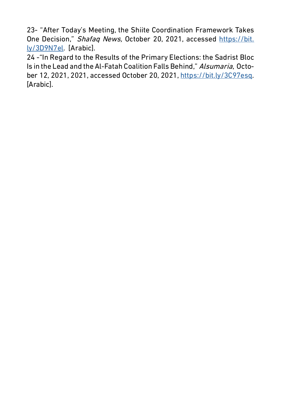23- "After Today's Meeting, the Shiite Coordination Framework Takes One Decision," Shafaq News, October 20, 2021, accessed [https://bit.](https://bit.ly/3D9N7el) [ly/3D9N7el](https://bit.ly/3D9N7el). [Arabic].

24 -"In Regard to the Results of the Primary Elections: the Sadrist Bloc Is in the Lead and the Al-Fatah Coalition Falls Behind," Alsumaria, October 12, 2021, 2021, accessed October 20, 2021, [https://bit.ly/3C97esq.](https://bit.ly/3C97esq) [Arabic].